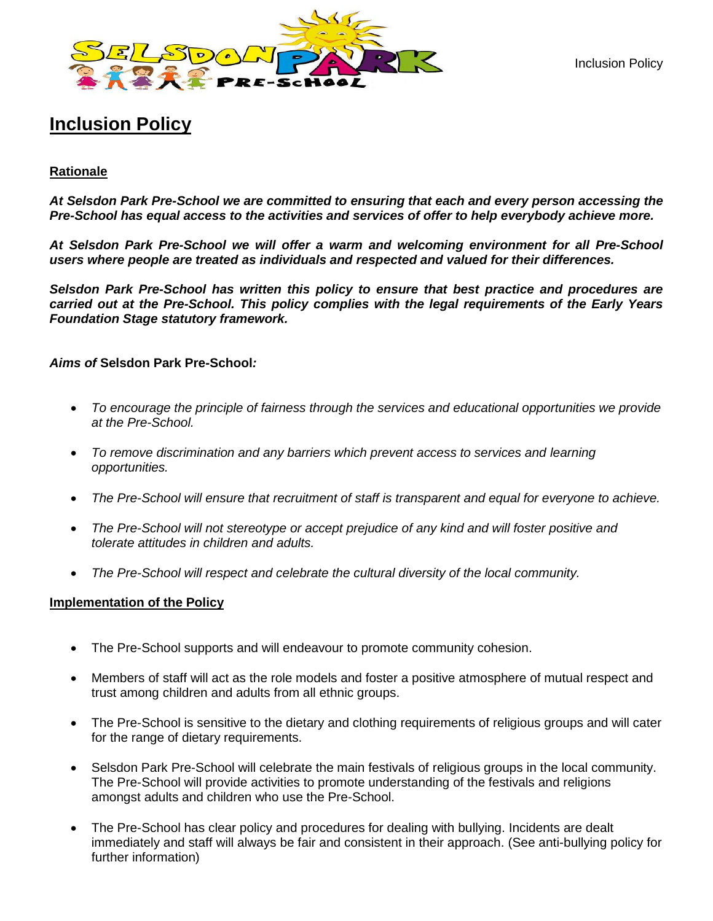Inclusion Policy



# **Inclusion Policy**

# **Rationale**

*At Selsdon Park Pre-School we are committed to ensuring that each and every person accessing the Pre-School has equal access to the activities and services of offer to help everybody achieve more.* 

*At Selsdon Park Pre-School we will offer a warm and welcoming environment for all Pre-School users where people are treated as individuals and respected and valued for their differences.* 

*Selsdon Park Pre-School has written this policy to ensure that best practice and procedures are carried out at the Pre-School. This policy complies with the legal requirements of the Early Years Foundation Stage statutory framework.*

## *Aims of* **Selsdon Park Pre-School***:*

- *To encourage the principle of fairness through the services and educational opportunities we provide at the Pre-School.*
- *To remove discrimination and any barriers which prevent access to services and learning opportunities.*
- *The Pre-School will ensure that recruitment of staff is transparent and equal for everyone to achieve.*
- *The Pre-School will not stereotype or accept prejudice of any kind and will foster positive and tolerate attitudes in children and adults.*
- *The Pre-School will respect and celebrate the cultural diversity of the local community.*

#### **Implementation of the Policy**

- The Pre-School supports and will endeavour to promote community cohesion.
- Members of staff will act as the role models and foster a positive atmosphere of mutual respect and trust among children and adults from all ethnic groups.
- The Pre-School is sensitive to the dietary and clothing requirements of religious groups and will cater for the range of dietary requirements.
- Selsdon Park Pre-School will celebrate the main festivals of religious groups in the local community. The Pre-School will provide activities to promote understanding of the festivals and religions amongst adults and children who use the Pre-School.
- The Pre-School has clear policy and procedures for dealing with bullying. Incidents are dealt immediately and staff will always be fair and consistent in their approach. (See anti-bullying policy for further information)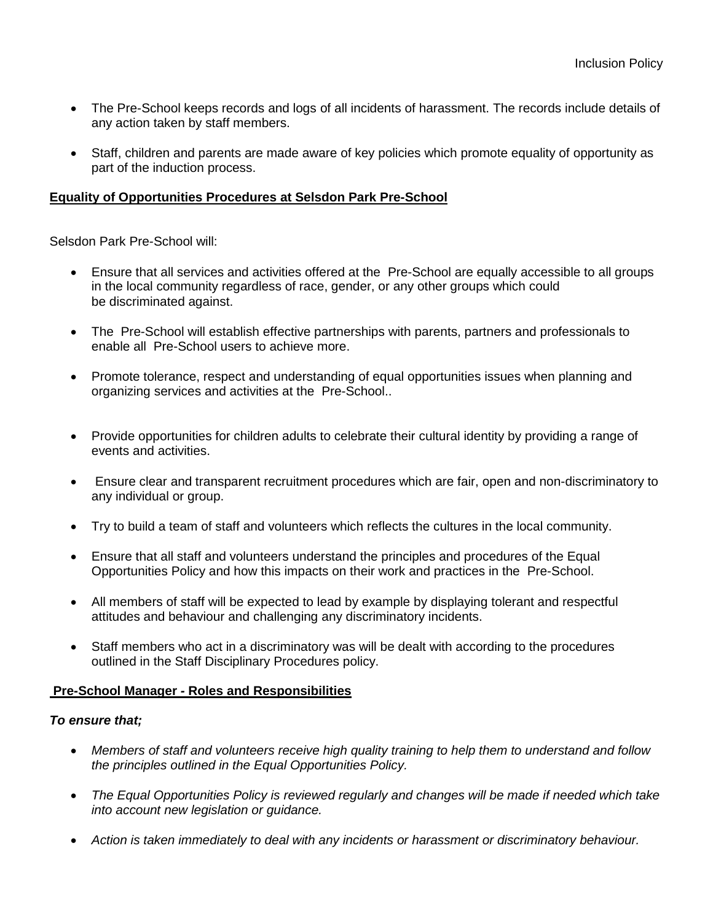- The Pre-School keeps records and logs of all incidents of harassment. The records include details of any action taken by staff members.
- Staff, children and parents are made aware of key policies which promote equality of opportunity as part of the induction process.

# **Equality of Opportunities Procedures at Selsdon Park Pre-School**

Selsdon Park Pre-School will:

- Ensure that all services and activities offered at the Pre-School are equally accessible to all groups in the local community regardless of race, gender, or any other groups which could be discriminated against.
- The Pre-School will establish effective partnerships with parents, partners and professionals to enable all Pre-School users to achieve more.
- Promote tolerance, respect and understanding of equal opportunities issues when planning and organizing services and activities at the Pre-School..
- Provide opportunities for children adults to celebrate their cultural identity by providing a range of events and activities.
- Ensure clear and transparent recruitment procedures which are fair, open and non-discriminatory to any individual or group.
- Try to build a team of staff and volunteers which reflects the cultures in the local community.
- Ensure that all staff and volunteers understand the principles and procedures of the Equal Opportunities Policy and how this impacts on their work and practices in the Pre-School.
- All members of staff will be expected to lead by example by displaying tolerant and respectful attitudes and behaviour and challenging any discriminatory incidents.
- Staff members who act in a discriminatory was will be dealt with according to the procedures outlined in the Staff Disciplinary Procedures policy.

## **Pre-School Manager** *-* **Roles and Responsibilities**

# *To ensure that;*

- *Members of staff and volunteers receive high quality training to help them to understand and follow the principles outlined in the Equal Opportunities Policy.*
- *The Equal Opportunities Policy is reviewed regularly and changes will be made if needed which take into account new legislation or guidance.*
- *Action is taken immediately to deal with any incidents or harassment or discriminatory behaviour.*